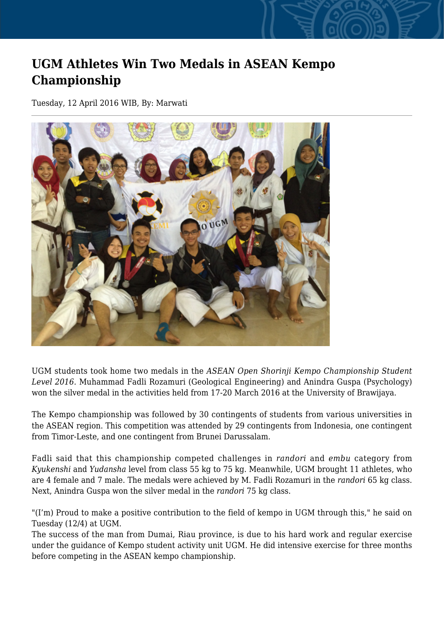## **UGM Athletes Win Two Medals in ASEAN Kempo Championship**

Tuesday, 12 April 2016 WIB, By: Marwati



UGM students took home two medals in the *ASEAN Open Shorinji Kempo Championship Student Level 2016.* Muhammad Fadli Rozamuri (Geological Engineering) and Anindra Guspa (Psychology) won the silver medal in the activities held from 17-20 March 2016 at the University of Brawijaya.

The Kempo championship was followed by 30 contingents of students from various universities in the ASEAN region. This competition was attended by 29 contingents from Indonesia, one contingent from Timor-Leste, and one contingent from Brunei Darussalam.

Fadli said that this championship competed challenges in *randori* and *embu* category from *Kyukenshi* and *Yudansha* level from class 55 kg to 75 kg. Meanwhile, UGM brought 11 athletes, who are 4 female and 7 male. The medals were achieved by M. Fadli Rozamuri in the *randori* 65 kg class. Next, Anindra Guspa won the silver medal in the *randori* 75 kg class.

"(I'm) Proud to make a positive contribution to the field of kempo in UGM through this," he said on Tuesday (12/4) at UGM.

The success of the man from Dumai, Riau province, is due to his hard work and regular exercise under the guidance of Kempo student activity unit UGM. He did intensive exercise for three months before competing in the ASEAN kempo championship.